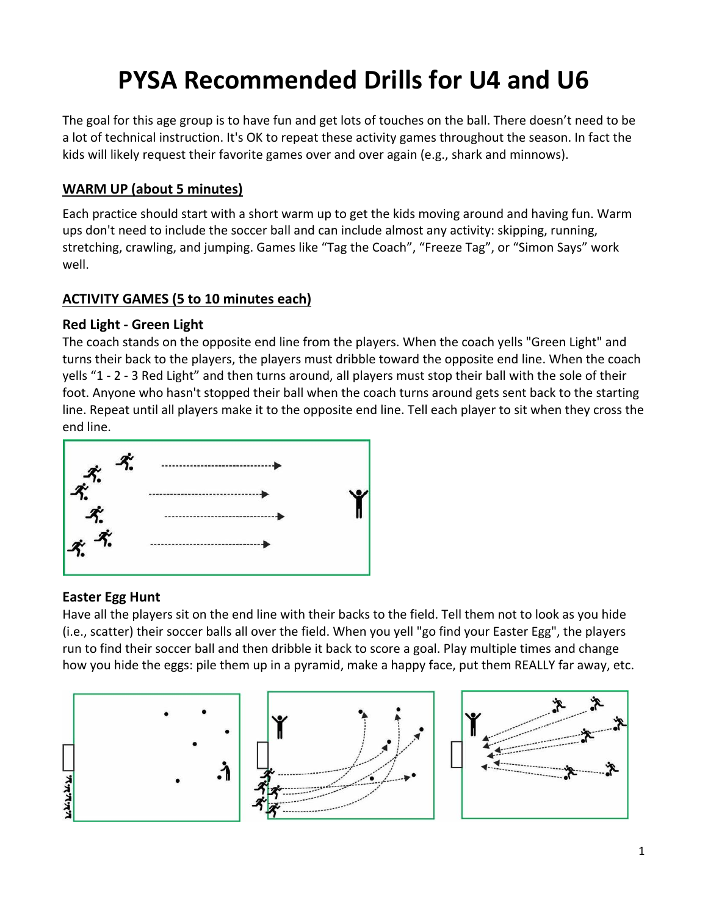# **PYSA Recommended Drills for U4 and U6**

The goal for this age group is to have fun and get lots of touches on the ball. There doesn't need to be a lot of technical instruction. It's OK to repeat these activity games throughout the season. In fact the kids will likely request their favorite games over and over again (e.g., shark and minnows).

# **WARM UP (about 5 minutes)**

Each practice should start with a short warm up to get the kids moving around and having fun. Warm ups don't need to include the soccer ball and can include almost any activity: skipping, running, stretching, crawling, and jumping. Games like "Tag the Coach", "Freeze Tag", or "Simon Says" work well.

# **ACTIVITY GAMES (5 to 10 minutes each)**

#### **Red Light ‐ Green Light**

The coach stands on the opposite end line from the players. When the coach yells "Green Light" and turns their back to the players, the players must dribble toward the opposite end line. When the coach yells "1 ‐ 2 ‐ 3 Red Light" and then turns around, all players must stop their ball with the sole of their foot. Anyone who hasn't stopped their ball when the coach turns around gets sent back to the starting line. Repeat until all players make it to the opposite end line. Tell each player to sit when they cross the end line.



# **Easter Egg Hunt**

Have all the players sit on the end line with their backs to the field. Tell them not to look as you hide (i.e., scatter) their soccer balls all over the field. When you yell "go find your Easter Egg", the players run to find their soccer ball and then dribble it back to score a goal. Play multiple times and change how you hide the eggs: pile them up in a pyramid, make a happy face, put them REALLY far away, etc.

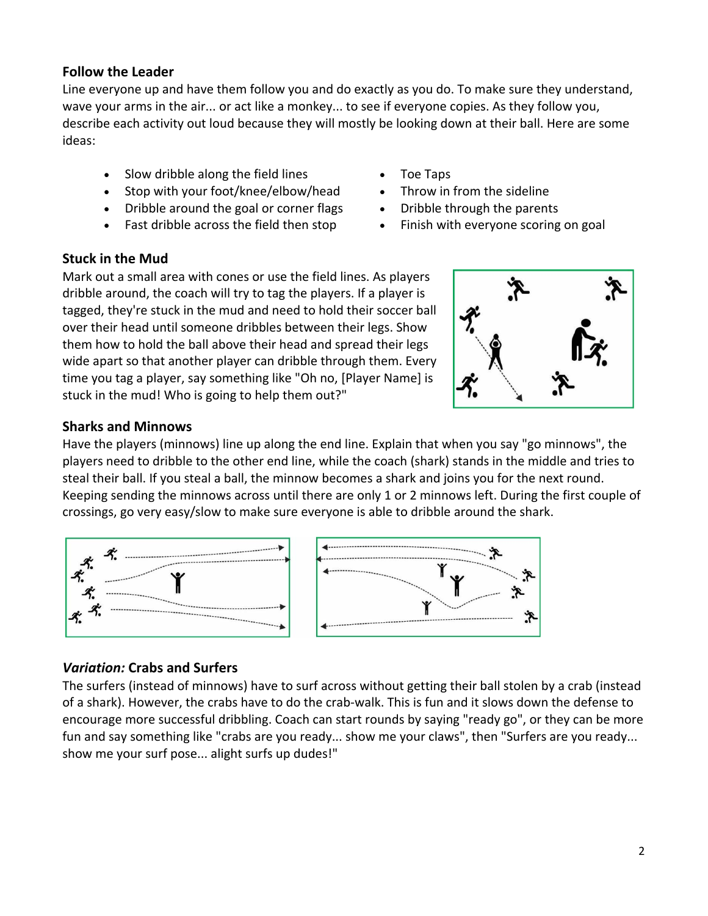# **Follow the Leader**

Line everyone up and have them follow you and do exactly as you do. To make sure they understand, wave your arms in the air... or act like a monkey... to see if everyone copies. As they follow you, describe each activity out loud because they will mostly be looking down at their ball. Here are some ideas:

- Slow dribble along the field lines
- Stop with your foot/knee/elbow/head
- Dribble around the goal or corner flags
- Fast dribble across the field then stop
- Toe Taps
- Throw in from the sideline
- Dribble through the parents
- Finish with everyone scoring on goal

#### **Stuck in the Mud**

Mark out a small area with cones or use the field lines. As players dribble around, the coach will try to tag the players. If a player is tagged, they're stuck in the mud and need to hold their soccer ball over their head until someone dribbles between their legs. Show them how to hold the ball above their head and spread their legs wide apart so that another player can dribble through them. Every time you tag a player, say something like "Oh no, [Player Name] is stuck in the mud! Who is going to help them out?"



#### **Sharks and Minnows**

Have the players (minnows) line up along the end line. Explain that when you say "go minnows", the players need to dribble to the other end line, while the coach (shark) stands in the middle and tries to steal their ball. If you steal a ball, the minnow becomes a shark and joins you for the next round. Keeping sending the minnows across until there are only 1 or 2 minnows left. During the first couple of crossings, go very easy/slow to make sure everyone is able to dribble around the shark.





# *Variation:* **Crabs and Surfers**

The surfers (instead of minnows) have to surf across without getting their ball stolen by a crab (instead of a shark). However, the crabs have to do the crab‐walk. This is fun and it slows down the defense to encourage more successful dribbling. Coach can start rounds by saying "ready go", or they can be more fun and say something like "crabs are you ready... show me your claws", then "Surfers are you ready... show me your surf pose... alight surfs up dudes!"